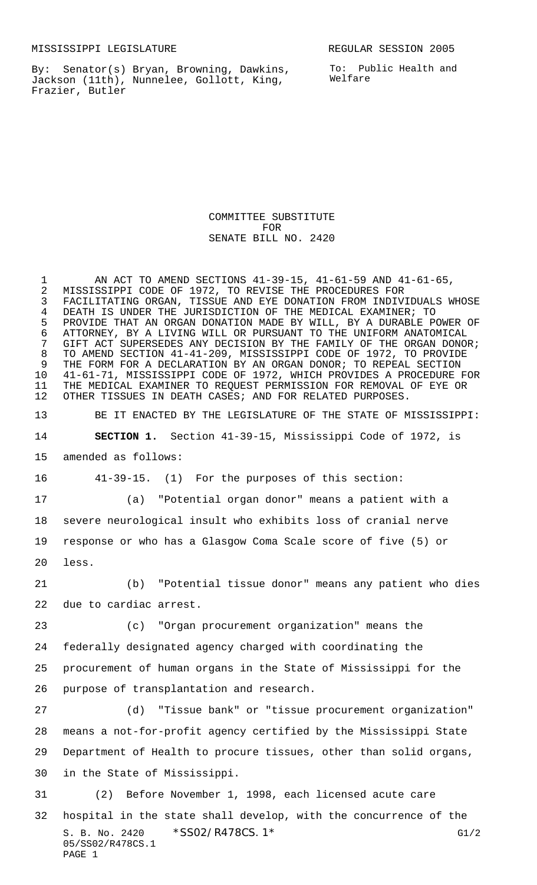By: Senator(s) Bryan, Browning, Dawkins, Jackson (11th), Nunnelee, Gollott, King, Frazier, Butler

COMMITTEE SUBSTITUTE FOR SENATE BILL NO. 2420

 AN ACT TO AMEND SECTIONS 41-39-15, 41-61-59 AND 41-61-65, MISSISSIPPI CODE OF 1972, TO REVISE THE PROCEDURES FOR FACILITATING ORGAN, TISSUE AND EYE DONATION FROM INDIVIDUALS WHOSE DEATH IS UNDER THE JURISDICTION OF THE MEDICAL EXAMINER; TO 5 PROVIDE THAT AN ORGAN DONATION MADE BY WILL, BY A DURABLE POWER OF<br>6 ATTORNEY, BY A LIVING WILL OR PURSUANT TO THE UNIFORM ANATOMICAL 6 ATTORNEY, BY A LIVING WILL OR PURSUANT TO THE UNIFORM ANATOMICAL<br>7 GIFT ACT SUPERSEDES ANY DECISION BY THE FAMILY OF THE ORGAN DONOI 7 GIFT ACT SUPERSEDES ANY DECISION BY THE FAMILY OF THE ORGAN DONOR;<br>8 TO AMEND SECTION 41-41-209, MISSISSIPPI CODE OF 1972, TO PROVIDE TO AMEND SECTION 41-41-209, MISSISSIPPI CODE OF 1972, TO PROVIDE 9 THE FORM FOR A DECLARATION BY AN ORGAN DONOR; TO REPEAL SECTION<br>10 41-61-71, MISSISSIPPI CODE OF 1972, WHICH PROVIDES A PROCEDURE I 41-61-71, MISSISSIPPI CODE OF 1972, WHICH PROVIDES A PROCEDURE FOR THE MEDICAL EXAMINER TO REQUEST PERMISSION FOR REMOVAL OF EYE OR OTHER TISSUES IN DEATH CASES; AND FOR RELATED PURPOSES.

 BE IT ENACTED BY THE LEGISLATURE OF THE STATE OF MISSISSIPPI: **SECTION 1.** Section 41-39-15, Mississippi Code of 1972, is amended as follows:

41-39-15. (1) For the purposes of this section:

 (a) "Potential organ donor" means a patient with a severe neurological insult who exhibits loss of cranial nerve response or who has a Glasgow Coma Scale score of five (5) or less.

 (b) "Potential tissue donor" means any patient who dies due to cardiac arrest.

(c) "Organ procurement organization" means the

 federally designated agency charged with coordinating the procurement of human organs in the State of Mississippi for the purpose of transplantation and research.

 (d) "Tissue bank" or "tissue procurement organization" means a not-for-profit agency certified by the Mississippi State Department of Health to procure tissues, other than solid organs, in the State of Mississippi.

S. B. No. 2420 \* SSO2/R478CS. 1\* G1/2 05/SS02/R478CS.1 PAGE 1 (2) Before November 1, 1998, each licensed acute care hospital in the state shall develop, with the concurrence of the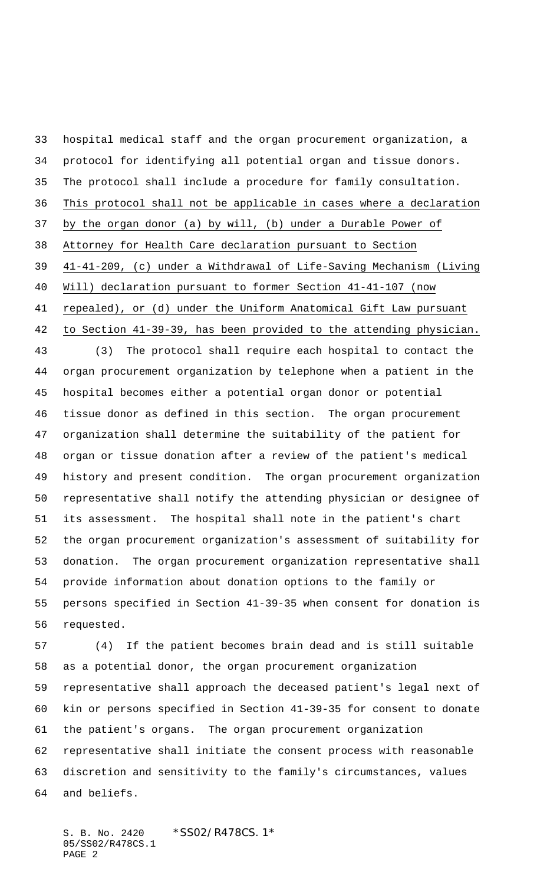hospital medical staff and the organ procurement organization, a protocol for identifying all potential organ and tissue donors. The protocol shall include a procedure for family consultation. This protocol shall not be applicable in cases where a declaration by the organ donor (a) by will, (b) under a Durable Power of Attorney for Health Care declaration pursuant to Section 41-41-209, (c) under a Withdrawal of Life-Saving Mechanism (Living Will) declaration pursuant to former Section 41-41-107 (now repealed), or (d) under the Uniform Anatomical Gift Law pursuant to Section 41-39-39, has been provided to the attending physician. (3) The protocol shall require each hospital to contact the organ procurement organization by telephone when a patient in the hospital becomes either a potential organ donor or potential tissue donor as defined in this section. The organ procurement organization shall determine the suitability of the patient for organ or tissue donation after a review of the patient's medical history and present condition. The organ procurement organization representative shall notify the attending physician or designee of its assessment. The hospital shall note in the patient's chart the organ procurement organization's assessment of suitability for donation. The organ procurement organization representative shall provide information about donation options to the family or persons specified in Section 41-39-35 when consent for donation is requested. (4) If the patient becomes brain dead and is still suitable

 as a potential donor, the organ procurement organization representative shall approach the deceased patient's legal next of kin or persons specified in Section 41-39-35 for consent to donate the patient's organs. The organ procurement organization representative shall initiate the consent process with reasonable discretion and sensitivity to the family's circumstances, values and beliefs.

S. B. No. 2420 \*SS02/R478CS.1\* 05/SS02/R478CS.1 PAGE 2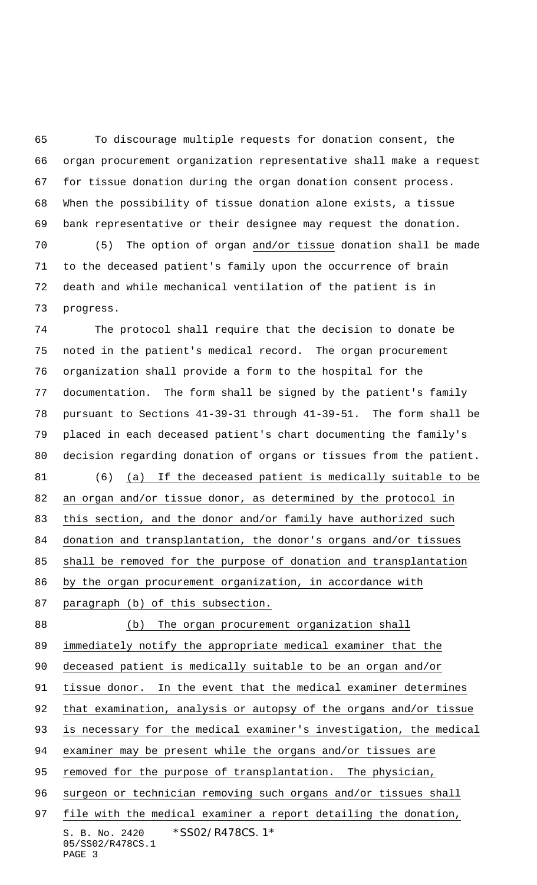To discourage multiple requests for donation consent, the organ procurement organization representative shall make a request for tissue donation during the organ donation consent process. When the possibility of tissue donation alone exists, a tissue bank representative or their designee may request the donation. (5) The option of organ and/or tissue donation shall be made to the deceased patient's family upon the occurrence of brain death and while mechanical ventilation of the patient is in progress.

 The protocol shall require that the decision to donate be noted in the patient's medical record. The organ procurement organization shall provide a form to the hospital for the documentation. The form shall be signed by the patient's family pursuant to Sections 41-39-31 through 41-39-51. The form shall be placed in each deceased patient's chart documenting the family's decision regarding donation of organs or tissues from the patient. (6) (a) If the deceased patient is medically suitable to be 82 an organ and/or tissue donor, as determined by the protocol in this section, and the donor and/or family have authorized such donation and transplantation, the donor's organs and/or tissues shall be removed for the purpose of donation and transplantation by the organ procurement organization, in accordance with paragraph (b) of this subsection.

S. B. No. 2420 \* SS02/R478CS. 1\* 05/SS02/R478CS.1 PAGE 3 (b) The organ procurement organization shall immediately notify the appropriate medical examiner that the deceased patient is medically suitable to be an organ and/or tissue donor. In the event that the medical examiner determines 92 that examination, analysis or autopsy of the organs and/or tissue is necessary for the medical examiner's investigation, the medical examiner may be present while the organs and/or tissues are 95 removed for the purpose of transplantation. The physician, 96 surgeon or technician removing such organs and/or tissues shall 97 file with the medical examiner a report detailing the donation,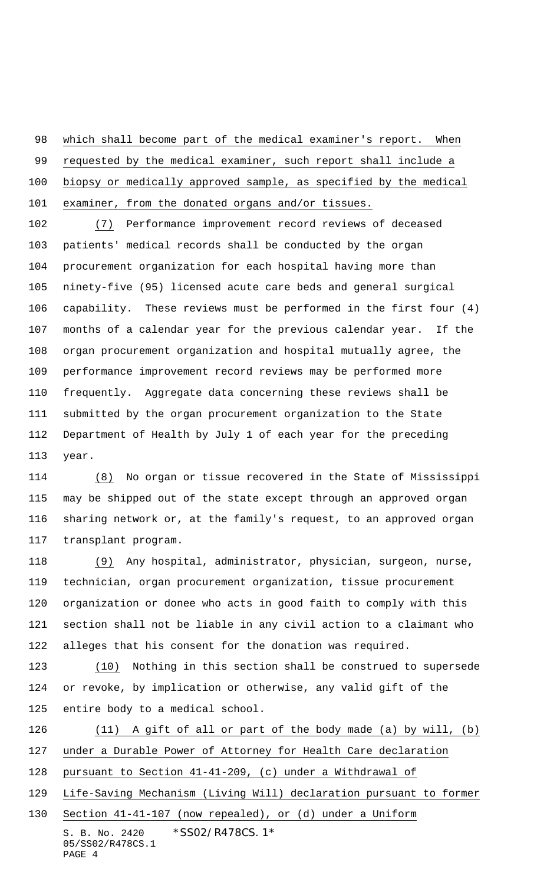which shall become part of the medical examiner's report. When

requested by the medical examiner, such report shall include a

biopsy or medically approved sample, as specified by the medical

examiner, from the donated organs and/or tissues.

 (7) Performance improvement record reviews of deceased patients' medical records shall be conducted by the organ procurement organization for each hospital having more than ninety-five (95) licensed acute care beds and general surgical capability. These reviews must be performed in the first four (4) months of a calendar year for the previous calendar year. If the organ procurement organization and hospital mutually agree, the performance improvement record reviews may be performed more frequently. Aggregate data concerning these reviews shall be submitted by the organ procurement organization to the State Department of Health by July 1 of each year for the preceding year.

 (8) No organ or tissue recovered in the State of Mississippi may be shipped out of the state except through an approved organ sharing network or, at the family's request, to an approved organ transplant program.

 (9) Any hospital, administrator, physician, surgeon, nurse, technician, organ procurement organization, tissue procurement organization or donee who acts in good faith to comply with this section shall not be liable in any civil action to a claimant who alleges that his consent for the donation was required.

 (10) Nothing in this section shall be construed to supersede or revoke, by implication or otherwise, any valid gift of the entire body to a medical school.

 (11) A gift of all or part of the body made (a) by will, (b) under a Durable Power of Attorney for Health Care declaration pursuant to Section 41-41-209, (c) under a Withdrawal of Life-Saving Mechanism (Living Will) declaration pursuant to former Section 41-41-107 (now repealed), or (d) under a Uniform

S. B. No. 2420 \* SS02/R478CS. 1\* 05/SS02/R478CS.1 PAGE 4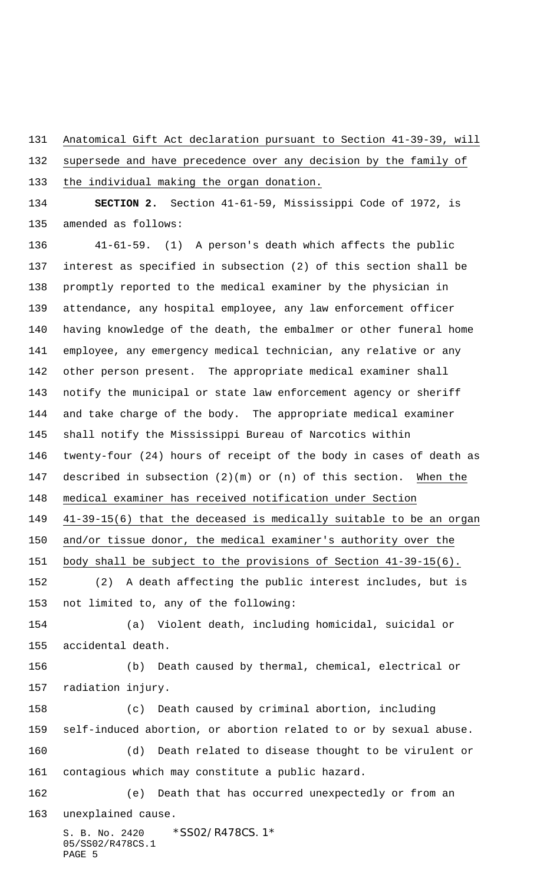Anatomical Gift Act declaration pursuant to Section 41-39-39, will

 supersede and have precedence over any decision by the family of the individual making the organ donation.

 **SECTION 2.** Section 41-61-59, Mississippi Code of 1972, is amended as follows:

S. B. No. 2420 \*SS02/R478CS.1\* 41-61-59. (1) A person's death which affects the public interest as specified in subsection (2) of this section shall be promptly reported to the medical examiner by the physician in attendance, any hospital employee, any law enforcement officer having knowledge of the death, the embalmer or other funeral home employee, any emergency medical technician, any relative or any other person present. The appropriate medical examiner shall notify the municipal or state law enforcement agency or sheriff and take charge of the body. The appropriate medical examiner shall notify the Mississippi Bureau of Narcotics within twenty-four (24) hours of receipt of the body in cases of death as described in subsection (2)(m) or (n) of this section. When the medical examiner has received notification under Section 41-39-15(6) that the deceased is medically suitable to be an organ and/or tissue donor, the medical examiner's authority over the body shall be subject to the provisions of Section 41-39-15(6). (2) A death affecting the public interest includes, but is not limited to, any of the following: (a) Violent death, including homicidal, suicidal or accidental death. (b) Death caused by thermal, chemical, electrical or radiation injury. (c) Death caused by criminal abortion, including self-induced abortion, or abortion related to or by sexual abuse. (d) Death related to disease thought to be virulent or contagious which may constitute a public hazard. (e) Death that has occurred unexpectedly or from an unexplained cause.

05/SS02/R478CS.1 PAGE 5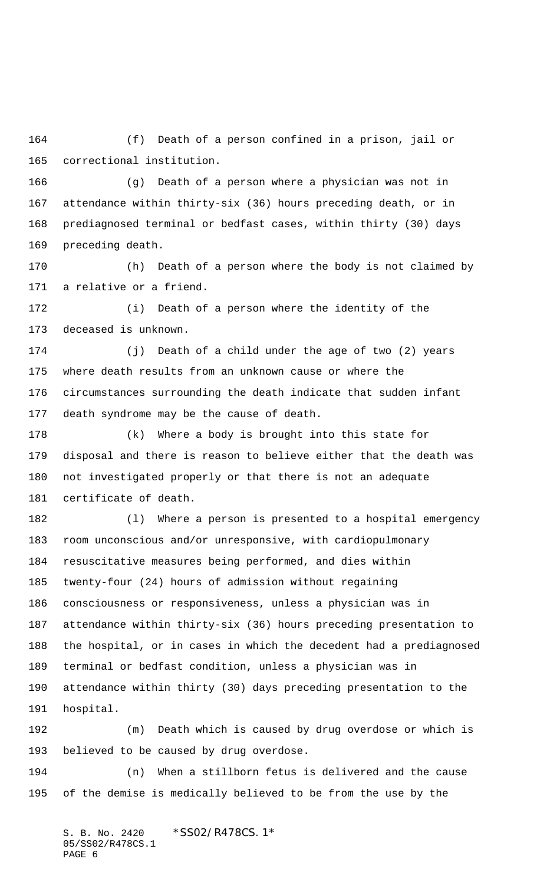(f) Death of a person confined in a prison, jail or correctional institution.

 (g) Death of a person where a physician was not in attendance within thirty-six (36) hours preceding death, or in prediagnosed terminal or bedfast cases, within thirty (30) days preceding death.

 (h) Death of a person where the body is not claimed by a relative or a friend.

 (i) Death of a person where the identity of the deceased is unknown.

 (j) Death of a child under the age of two (2) years where death results from an unknown cause or where the circumstances surrounding the death indicate that sudden infant death syndrome may be the cause of death.

 (k) Where a body is brought into this state for disposal and there is reason to believe either that the death was not investigated properly or that there is not an adequate certificate of death.

 (l) Where a person is presented to a hospital emergency room unconscious and/or unresponsive, with cardiopulmonary resuscitative measures being performed, and dies within twenty-four (24) hours of admission without regaining consciousness or responsiveness, unless a physician was in attendance within thirty-six (36) hours preceding presentation to the hospital, or in cases in which the decedent had a prediagnosed terminal or bedfast condition, unless a physician was in attendance within thirty (30) days preceding presentation to the hospital.

 (m) Death which is caused by drug overdose or which is believed to be caused by drug overdose.

 (n) When a stillborn fetus is delivered and the cause of the demise is medically believed to be from the use by the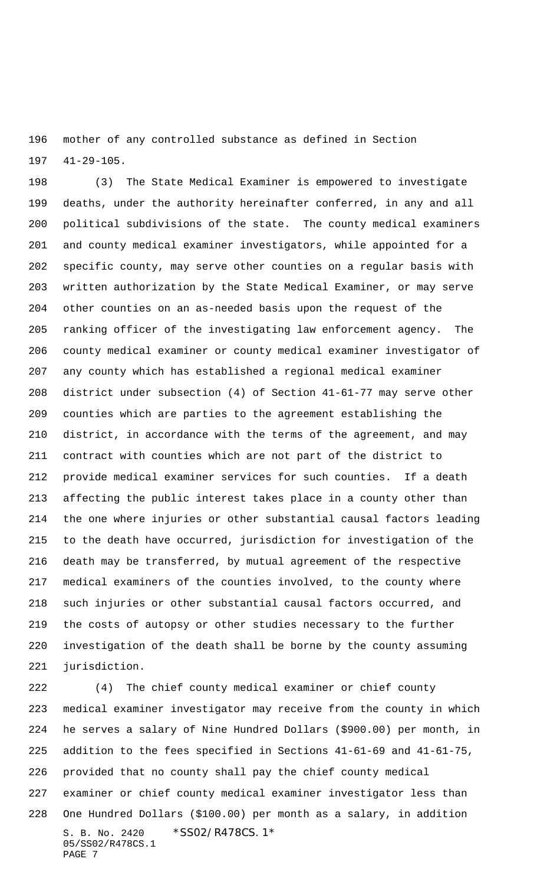mother of any controlled substance as defined in Section 41-29-105.

 (3) The State Medical Examiner is empowered to investigate deaths, under the authority hereinafter conferred, in any and all political subdivisions of the state. The county medical examiners and county medical examiner investigators, while appointed for a specific county, may serve other counties on a regular basis with written authorization by the State Medical Examiner, or may serve other counties on an as-needed basis upon the request of the ranking officer of the investigating law enforcement agency. The county medical examiner or county medical examiner investigator of any county which has established a regional medical examiner district under subsection (4) of Section 41-61-77 may serve other counties which are parties to the agreement establishing the district, in accordance with the terms of the agreement, and may contract with counties which are not part of the district to provide medical examiner services for such counties. If a death affecting the public interest takes place in a county other than the one where injuries or other substantial causal factors leading to the death have occurred, jurisdiction for investigation of the death may be transferred, by mutual agreement of the respective medical examiners of the counties involved, to the county where such injuries or other substantial causal factors occurred, and the costs of autopsy or other studies necessary to the further investigation of the death shall be borne by the county assuming jurisdiction.

S. B. No. 2420 \* SS02/R478CS. 1\* 05/SS02/R478CS.1 PAGE 7 (4) The chief county medical examiner or chief county medical examiner investigator may receive from the county in which he serves a salary of Nine Hundred Dollars (\$900.00) per month, in addition to the fees specified in Sections 41-61-69 and 41-61-75, provided that no county shall pay the chief county medical examiner or chief county medical examiner investigator less than One Hundred Dollars (\$100.00) per month as a salary, in addition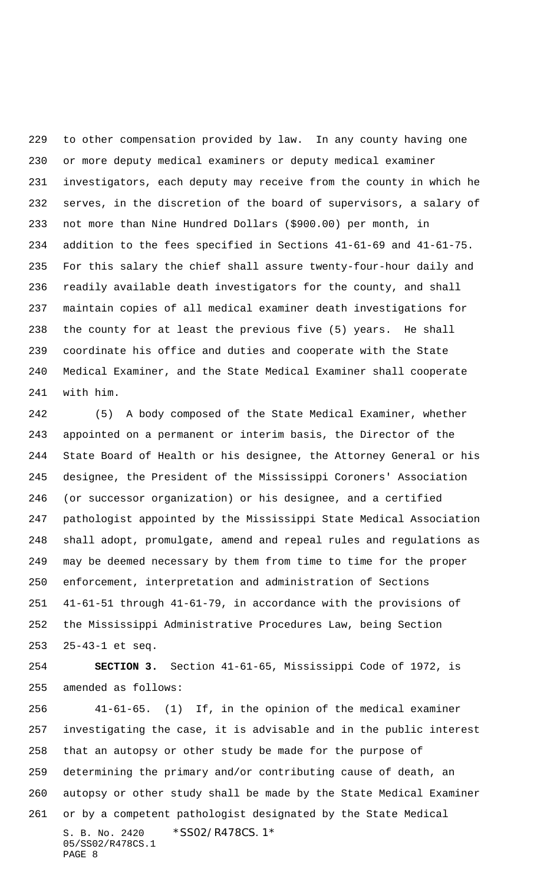to other compensation provided by law. In any county having one or more deputy medical examiners or deputy medical examiner investigators, each deputy may receive from the county in which he serves, in the discretion of the board of supervisors, a salary of not more than Nine Hundred Dollars (\$900.00) per month, in addition to the fees specified in Sections 41-61-69 and 41-61-75. For this salary the chief shall assure twenty-four-hour daily and readily available death investigators for the county, and shall maintain copies of all medical examiner death investigations for the county for at least the previous five (5) years. He shall coordinate his office and duties and cooperate with the State Medical Examiner, and the State Medical Examiner shall cooperate with him.

 (5) A body composed of the State Medical Examiner, whether appointed on a permanent or interim basis, the Director of the State Board of Health or his designee, the Attorney General or his designee, the President of the Mississippi Coroners' Association (or successor organization) or his designee, and a certified pathologist appointed by the Mississippi State Medical Association shall adopt, promulgate, amend and repeal rules and regulations as may be deemed necessary by them from time to time for the proper enforcement, interpretation and administration of Sections 41-61-51 through 41-61-79, in accordance with the provisions of the Mississippi Administrative Procedures Law, being Section 25-43-1 et seq.

 **SECTION 3.** Section 41-61-65, Mississippi Code of 1972, is amended as follows:

S. B. No. 2420 \*SS02/R478CS.1\* 05/SS02/R478CS.1 PAGE 8 41-61-65. (1) If, in the opinion of the medical examiner investigating the case, it is advisable and in the public interest that an autopsy or other study be made for the purpose of determining the primary and/or contributing cause of death, an autopsy or other study shall be made by the State Medical Examiner or by a competent pathologist designated by the State Medical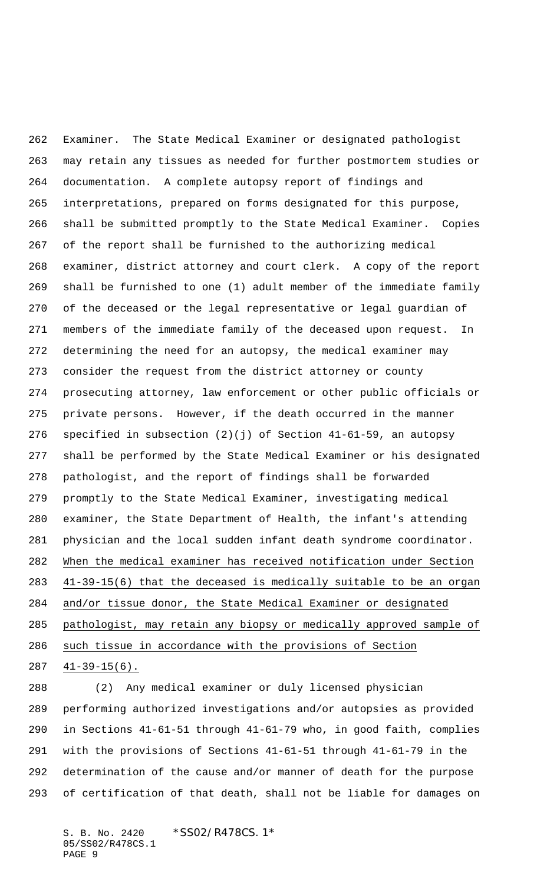Examiner. The State Medical Examiner or designated pathologist may retain any tissues as needed for further postmortem studies or documentation. A complete autopsy report of findings and interpretations, prepared on forms designated for this purpose, shall be submitted promptly to the State Medical Examiner. Copies of the report shall be furnished to the authorizing medical examiner, district attorney and court clerk. A copy of the report shall be furnished to one (1) adult member of the immediate family of the deceased or the legal representative or legal guardian of members of the immediate family of the deceased upon request. In determining the need for an autopsy, the medical examiner may consider the request from the district attorney or county prosecuting attorney, law enforcement or other public officials or private persons. However, if the death occurred in the manner specified in subsection (2)(j) of Section 41-61-59, an autopsy shall be performed by the State Medical Examiner or his designated pathologist, and the report of findings shall be forwarded promptly to the State Medical Examiner, investigating medical examiner, the State Department of Health, the infant's attending physician and the local sudden infant death syndrome coordinator. When the medical examiner has received notification under Section 41-39-15(6) that the deceased is medically suitable to be an organ and/or tissue donor, the State Medical Examiner or designated pathologist, may retain any biopsy or medically approved sample of such tissue in accordance with the provisions of Section 41-39-15(6).

 (2) Any medical examiner or duly licensed physician performing authorized investigations and/or autopsies as provided in Sections 41-61-51 through 41-61-79 who, in good faith, complies with the provisions of Sections 41-61-51 through 41-61-79 in the determination of the cause and/or manner of death for the purpose of certification of that death, shall not be liable for damages on

S. B. No. 2420 \*SS02/R478CS.1\* 05/SS02/R478CS.1 PAGE 9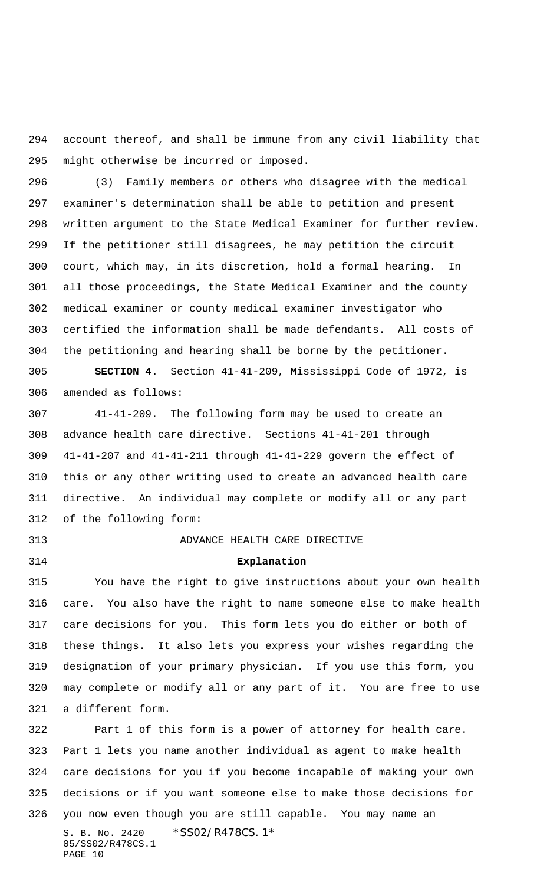account thereof, and shall be immune from any civil liability that might otherwise be incurred or imposed.

 (3) Family members or others who disagree with the medical examiner's determination shall be able to petition and present written argument to the State Medical Examiner for further review. If the petitioner still disagrees, he may petition the circuit court, which may, in its discretion, hold a formal hearing. In all those proceedings, the State Medical Examiner and the county medical examiner or county medical examiner investigator who certified the information shall be made defendants. All costs of the petitioning and hearing shall be borne by the petitioner.

 **SECTION 4.** Section 41-41-209, Mississippi Code of 1972, is amended as follows:

 41-41-209. The following form may be used to create an advance health care directive. Sections 41-41-201 through 41-41-207 and 41-41-211 through 41-41-229 govern the effect of this or any other writing used to create an advanced health care directive. An individual may complete or modify all or any part of the following form:

## ADVANCE HEALTH CARE DIRECTIVE

**Explanation**

 You have the right to give instructions about your own health care. You also have the right to name someone else to make health care decisions for you. This form lets you do either or both of these things. It also lets you express your wishes regarding the designation of your primary physician. If you use this form, you may complete or modify all or any part of it. You are free to use a different form.

S. B. No. 2420 \* SS02/R478CS. 1\* 05/SS02/R478CS.1 PAGE 10 Part 1 of this form is a power of attorney for health care. Part 1 lets you name another individual as agent to make health care decisions for you if you become incapable of making your own decisions or if you want someone else to make those decisions for you now even though you are still capable. You may name an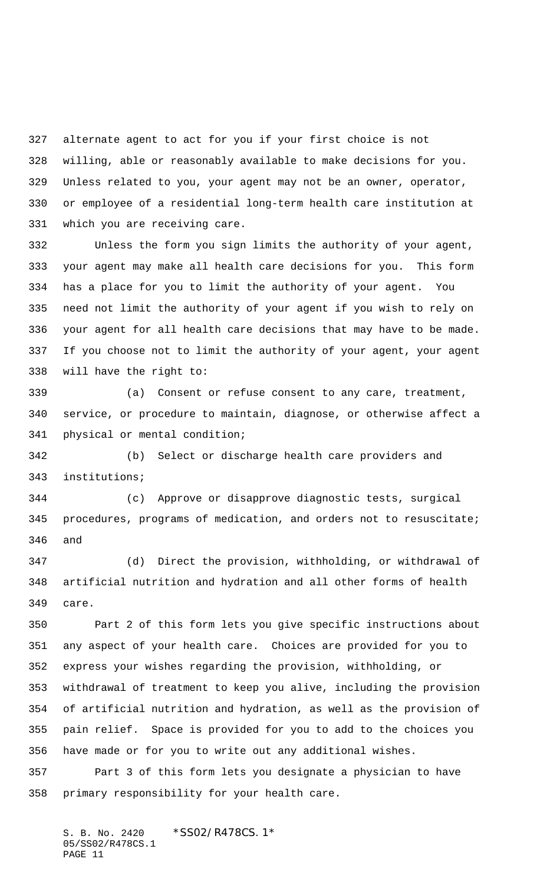alternate agent to act for you if your first choice is not willing, able or reasonably available to make decisions for you. Unless related to you, your agent may not be an owner, operator, or employee of a residential long-term health care institution at which you are receiving care.

 Unless the form you sign limits the authority of your agent, your agent may make all health care decisions for you. This form has a place for you to limit the authority of your agent. You need not limit the authority of your agent if you wish to rely on your agent for all health care decisions that may have to be made. If you choose not to limit the authority of your agent, your agent will have the right to:

 (a) Consent or refuse consent to any care, treatment, service, or procedure to maintain, diagnose, or otherwise affect a physical or mental condition;

 (b) Select or discharge health care providers and institutions;

 (c) Approve or disapprove diagnostic tests, surgical procedures, programs of medication, and orders not to resuscitate; and

 (d) Direct the provision, withholding, or withdrawal of artificial nutrition and hydration and all other forms of health care.

 Part 2 of this form lets you give specific instructions about any aspect of your health care. Choices are provided for you to express your wishes regarding the provision, withholding, or withdrawal of treatment to keep you alive, including the provision of artificial nutrition and hydration, as well as the provision of pain relief. Space is provided for you to add to the choices you have made or for you to write out any additional wishes. Part 3 of this form lets you designate a physician to have

primary responsibility for your health care.

S. B. No. 2420 \*SS02/R478CS. 1\* 05/SS02/R478CS.1 PAGE 11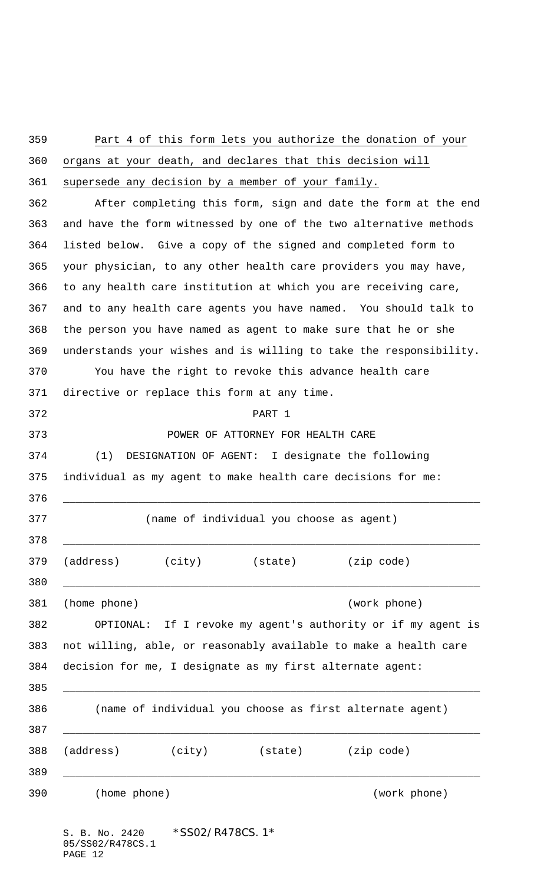| 359        | Part 4 of this form lets you authorize the donation of your                                                                                                                                                                                                          |  |  |  |
|------------|----------------------------------------------------------------------------------------------------------------------------------------------------------------------------------------------------------------------------------------------------------------------|--|--|--|
| 360        | organs at your death, and declares that this decision will                                                                                                                                                                                                           |  |  |  |
| 361        | supersede any decision by a member of your family.                                                                                                                                                                                                                   |  |  |  |
| 362        | After completing this form, sign and date the form at the end                                                                                                                                                                                                        |  |  |  |
| 363        | and have the form witnessed by one of the two alternative methods                                                                                                                                                                                                    |  |  |  |
| 364        | listed below. Give a copy of the signed and completed form to                                                                                                                                                                                                        |  |  |  |
| 365        | your physician, to any other health care providers you may have,                                                                                                                                                                                                     |  |  |  |
| 366        | to any health care institution at which you are receiving care,                                                                                                                                                                                                      |  |  |  |
| 367        | and to any health care agents you have named. You should talk to                                                                                                                                                                                                     |  |  |  |
| 368        | the person you have named as agent to make sure that he or she                                                                                                                                                                                                       |  |  |  |
| 369        | understands your wishes and is willing to take the responsibility.                                                                                                                                                                                                   |  |  |  |
| 370        | You have the right to revoke this advance health care                                                                                                                                                                                                                |  |  |  |
| 371        | directive or replace this form at any time.                                                                                                                                                                                                                          |  |  |  |
| 372        | PART 1                                                                                                                                                                                                                                                               |  |  |  |
| 373        | POWER OF ATTORNEY FOR HEALTH CARE                                                                                                                                                                                                                                    |  |  |  |
| 374        | DESIGNATION OF AGENT: I designate the following<br>(1)                                                                                                                                                                                                               |  |  |  |
| 375<br>376 | individual as my agent to make health care decisions for me:                                                                                                                                                                                                         |  |  |  |
| 377<br>378 | (name of individual you choose as agent)                                                                                                                                                                                                                             |  |  |  |
| 379<br>380 | (address) (city) (state) (zip code)                                                                                                                                                                                                                                  |  |  |  |
| 381        | (work phone)<br>(home phone)                                                                                                                                                                                                                                         |  |  |  |
| 382        | OPTIONAL: If I revoke my agent's authority or if my agent is                                                                                                                                                                                                         |  |  |  |
| 383        | not willing, able, or reasonably available to make a health care                                                                                                                                                                                                     |  |  |  |
| 384<br>385 | decision for me, I designate as my first alternate agent:                                                                                                                                                                                                            |  |  |  |
| 386<br>387 | (name of individual you choose as first alternate agent)<br><u> 1989 - Johann Stein, marwolaethau a bhann an t-Amhair ann an t-Amhair an t-Amhair an t-Amhair an t-Amhair an</u>                                                                                     |  |  |  |
| 388<br>389 | (address) (city) (state) (zip code)<br>the control of the control of the control of the control of the control of the control of the control of the control of the control of the control of the control of the control of the control of the control of the control |  |  |  |
| 390        | (home phone)<br>(work phone)                                                                                                                                                                                                                                         |  |  |  |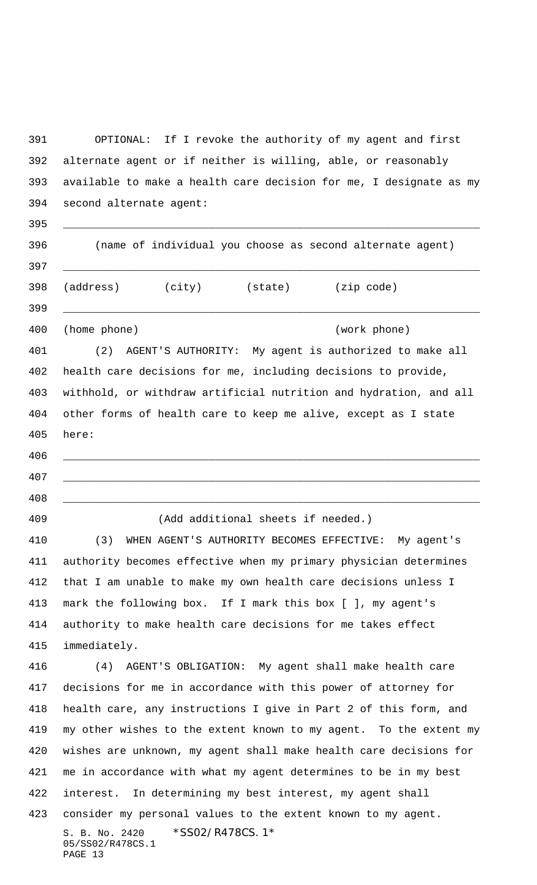S. B. No. 2420 \* SS02/R478CS. 1\* 05/SS02/R478CS.1 PAGE 13 OPTIONAL: If I revoke the authority of my agent and first alternate agent or if neither is willing, able, or reasonably available to make a health care decision for me, I designate as my second alternate agent: \_\_\_\_\_\_\_\_\_\_\_\_\_\_\_\_\_\_\_\_\_\_\_\_\_\_\_\_\_\_\_\_\_\_\_\_\_\_\_\_\_\_\_\_\_\_\_\_\_\_\_\_\_\_\_\_\_\_\_\_\_\_\_\_\_\_ (name of individual you choose as second alternate agent) \_\_\_\_\_\_\_\_\_\_\_\_\_\_\_\_\_\_\_\_\_\_\_\_\_\_\_\_\_\_\_\_\_\_\_\_\_\_\_\_\_\_\_\_\_\_\_\_\_\_\_\_\_\_\_\_\_\_\_\_\_\_\_\_\_\_ (address) (city) (state) (zip code) \_\_\_\_\_\_\_\_\_\_\_\_\_\_\_\_\_\_\_\_\_\_\_\_\_\_\_\_\_\_\_\_\_\_\_\_\_\_\_\_\_\_\_\_\_\_\_\_\_\_\_\_\_\_\_\_\_\_\_\_\_\_\_\_\_\_ (home phone) (work phone) (2) AGENT'S AUTHORITY: My agent is authorized to make all health care decisions for me, including decisions to provide, withhold, or withdraw artificial nutrition and hydration, and all other forms of health care to keep me alive, except as I state here: \_\_\_\_\_\_\_\_\_\_\_\_\_\_\_\_\_\_\_\_\_\_\_\_\_\_\_\_\_\_\_\_\_\_\_\_\_\_\_\_\_\_\_\_\_\_\_\_\_\_\_\_\_\_\_\_\_\_\_\_\_\_\_\_\_\_ \_\_\_\_\_\_\_\_\_\_\_\_\_\_\_\_\_\_\_\_\_\_\_\_\_\_\_\_\_\_\_\_\_\_\_\_\_\_\_\_\_\_\_\_\_\_\_\_\_\_\_\_\_\_\_\_\_\_\_\_\_\_\_\_\_\_ \_\_\_\_\_\_\_\_\_\_\_\_\_\_\_\_\_\_\_\_\_\_\_\_\_\_\_\_\_\_\_\_\_\_\_\_\_\_\_\_\_\_\_\_\_\_\_\_\_\_\_\_\_\_\_\_\_\_\_\_\_\_\_\_\_\_ (Add additional sheets if needed.) (3) WHEN AGENT'S AUTHORITY BECOMES EFFECTIVE: My agent's authority becomes effective when my primary physician determines that I am unable to make my own health care decisions unless I mark the following box. If I mark this box [ ], my agent's authority to make health care decisions for me takes effect immediately. (4) AGENT'S OBLIGATION: My agent shall make health care decisions for me in accordance with this power of attorney for health care, any instructions I give in Part 2 of this form, and my other wishes to the extent known to my agent. To the extent my wishes are unknown, my agent shall make health care decisions for me in accordance with what my agent determines to be in my best interest. In determining my best interest, my agent shall consider my personal values to the extent known to my agent.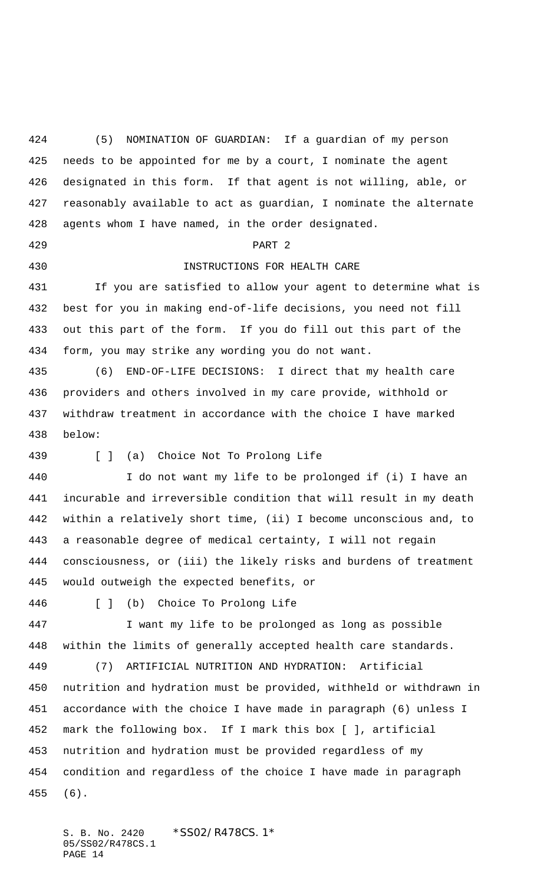(5) NOMINATION OF GUARDIAN: If a guardian of my person needs to be appointed for me by a court, I nominate the agent designated in this form. If that agent is not willing, able, or reasonably available to act as guardian, I nominate the alternate agents whom I have named, in the order designated.

PART 2

## INSTRUCTIONS FOR HEALTH CARE

 If you are satisfied to allow your agent to determine what is best for you in making end-of-life decisions, you need not fill out this part of the form. If you do fill out this part of the form, you may strike any wording you do not want.

 (6) END-OF-LIFE DECISIONS: I direct that my health care providers and others involved in my care provide, withhold or withdraw treatment in accordance with the choice I have marked below:

[ ] (a) Choice Not To Prolong Life

 I do not want my life to be prolonged if (i) I have an incurable and irreversible condition that will result in my death within a relatively short time, (ii) I become unconscious and, to a reasonable degree of medical certainty, I will not regain consciousness, or (iii) the likely risks and burdens of treatment would outweigh the expected benefits, or

[ ] (b) Choice To Prolong Life

 I want my life to be prolonged as long as possible within the limits of generally accepted health care standards.

 (7) ARTIFICIAL NUTRITION AND HYDRATION: Artificial nutrition and hydration must be provided, withheld or withdrawn in accordance with the choice I have made in paragraph (6) unless I mark the following box. If I mark this box [ ], artificial nutrition and hydration must be provided regardless of my condition and regardless of the choice I have made in paragraph (6).

S. B. No. 2420 \*SS02/R478CS. 1\* 05/SS02/R478CS.1 PAGE 14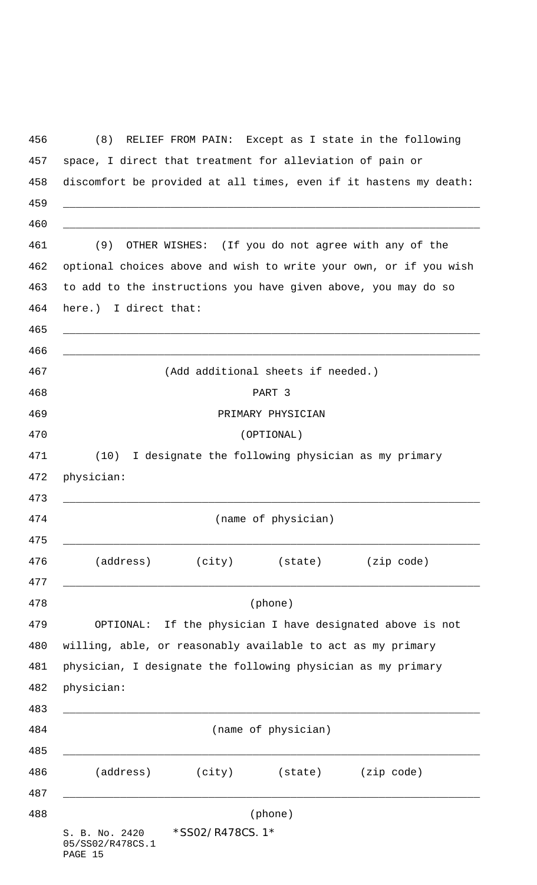| (8)                                                                                                                                 |                                                                   | RELIEF FROM PAIN: Except as I state in the following |                                                           |                       |  |
|-------------------------------------------------------------------------------------------------------------------------------------|-------------------------------------------------------------------|------------------------------------------------------|-----------------------------------------------------------|-----------------------|--|
| space, I direct that treatment for alleviation of pain or                                                                           |                                                                   |                                                      |                                                           |                       |  |
|                                                                                                                                     | discomfort be provided at all times, even if it hastens my death: |                                                      |                                                           |                       |  |
|                                                                                                                                     |                                                                   |                                                      |                                                           |                       |  |
| (9)                                                                                                                                 |                                                                   |                                                      | OTHER WISHES: (If you do not agree with any of the        |                       |  |
| optional choices above and wish to write your own, or if you wish<br>to add to the instructions you have given above, you may do so |                                                                   |                                                      |                                                           |                       |  |
|                                                                                                                                     |                                                                   |                                                      |                                                           | here.) I direct that: |  |
|                                                                                                                                     |                                                                   |                                                      |                                                           |                       |  |
|                                                                                                                                     |                                                                   | (Add additional sheets if needed.)                   |                                                           |                       |  |
|                                                                                                                                     | PART 3                                                            |                                                      |                                                           |                       |  |
|                                                                                                                                     | PRIMARY PHYSICIAN                                                 |                                                      |                                                           |                       |  |
| (OPTIONAL)                                                                                                                          |                                                                   |                                                      |                                                           |                       |  |
| (10)                                                                                                                                | I designate the following physician as my primary                 |                                                      |                                                           |                       |  |
| physician:                                                                                                                          |                                                                   |                                                      |                                                           |                       |  |
| (name of physician)                                                                                                                 |                                                                   |                                                      |                                                           |                       |  |
| (address)                                                                                                                           |                                                                   | (city) (state)                                       | (zip code)                                                |                       |  |
|                                                                                                                                     |                                                                   | (phone)                                              |                                                           |                       |  |
|                                                                                                                                     |                                                                   |                                                      | OPTIONAL: If the physician I have designated above is not |                       |  |
| willing, able, or reasonably available to act as my primary                                                                         |                                                                   |                                                      |                                                           |                       |  |
| physician, I designate the following physician as my primary                                                                        |                                                                   |                                                      |                                                           |                       |  |
| physician:                                                                                                                          |                                                                   |                                                      |                                                           |                       |  |
|                                                                                                                                     |                                                                   | (name of physician)                                  |                                                           |                       |  |
|                                                                                                                                     |                                                                   |                                                      |                                                           |                       |  |
| (address)                                                                                                                           | (city)                                                            | (state) (zip code)                                   |                                                           |                       |  |
|                                                                                                                                     |                                                                   | (phone)                                              |                                                           |                       |  |
| S. B. No. 2420<br>05/SS02/R478CS.1<br>PAGE 15                                                                                       | *SS02/R478CS.1*                                                   |                                                      |                                                           |                       |  |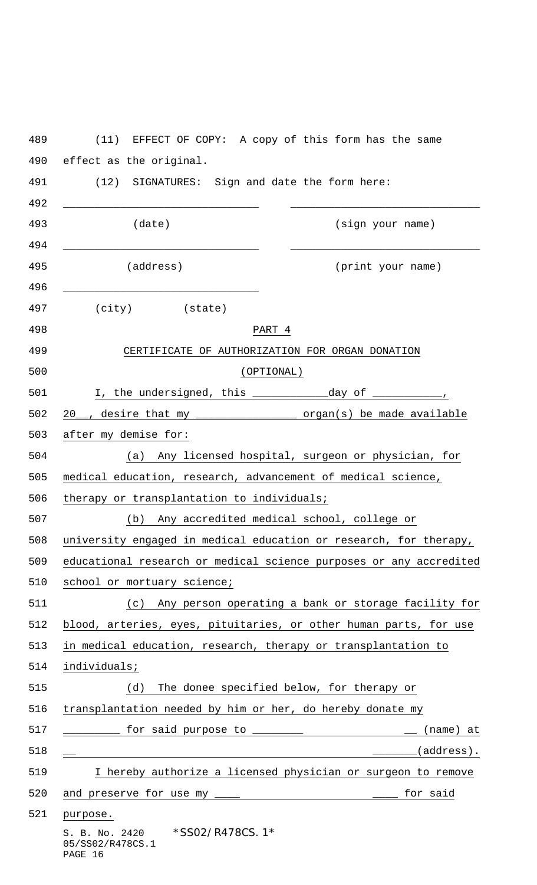|                                                                    |                                                        | (11) EFFECT OF COPY: A copy of this form has the same               |
|--------------------------------------------------------------------|--------------------------------------------------------|---------------------------------------------------------------------|
|                                                                    | effect as the original.                                |                                                                     |
|                                                                    | (12) SIGNATURES: Sign and date the form here:          |                                                                     |
|                                                                    | (date)                                                 | (sign your name)                                                    |
|                                                                    | (address)                                              | (print your name)                                                   |
|                                                                    | $(city)$ (state)                                       |                                                                     |
|                                                                    |                                                        | PART 4                                                              |
|                                                                    |                                                        | CERTIFICATE OF AUTHORIZATION FOR ORGAN DONATION                     |
|                                                                    |                                                        | (OPTIONAL)                                                          |
|                                                                    | I, the undersigned, this _____________________day of _ |                                                                     |
|                                                                    |                                                        | 20__, desire that my ___________________ organ(s) be made available |
|                                                                    | after my demise for:                                   |                                                                     |
| Any licensed hospital, surgeon or physician, for<br>(a)            |                                                        |                                                                     |
|                                                                    |                                                        | medical education, research, advancement of medical science,        |
|                                                                    | therapy or transplantation to individuals;             |                                                                     |
| (b)<br>Any accredited medical school, college or                   |                                                        |                                                                     |
| university engaged in medical education or research, for therapy,  |                                                        |                                                                     |
| educational research or medical science purposes or any accredited |                                                        |                                                                     |
| school or mortuary science;                                        |                                                        |                                                                     |
| (c) Any person operating a bank or storage facility for            |                                                        |                                                                     |
| blood, arteries, eyes, pituitaries, or other human parts, for use  |                                                        |                                                                     |
| in medical education, research, therapy or transplantation to      |                                                        |                                                                     |
| individuals;                                                       |                                                        |                                                                     |
|                                                                    | (d)                                                    | The donee specified below, for therapy or                           |
| transplantation needed by him or her, do hereby donate my          |                                                        |                                                                     |
|                                                                    |                                                        | for said purpose to _________<br>(name) at                          |
|                                                                    |                                                        | (address).                                                          |
|                                                                    |                                                        | I hereby authorize a licensed physician or surgeon to remove        |
|                                                                    | and preserve for use my _____                          | for said                                                            |
| purpose.                                                           |                                                        |                                                                     |
| 05/SS02/R478CS.1<br>PAGE 16                                        | S. B. No. 2420 *SS02/R478CS. 1*                        |                                                                     |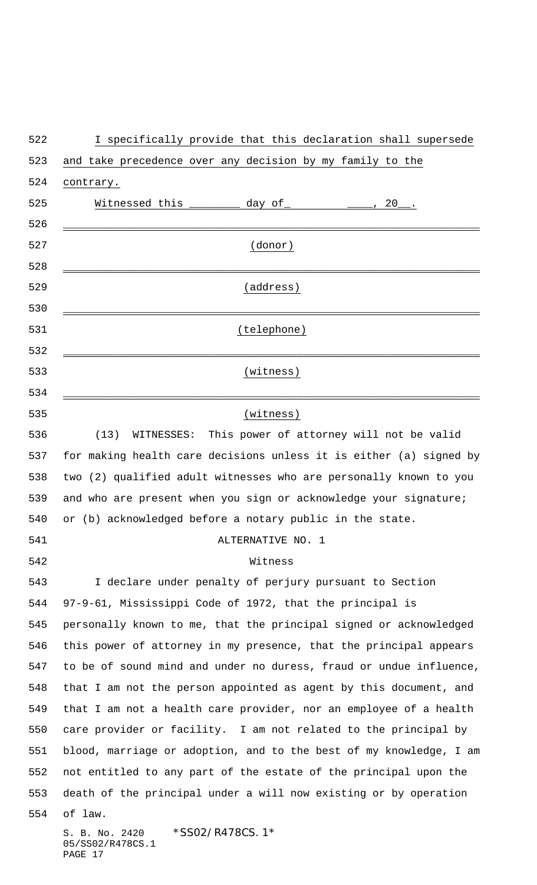| and take precedence over any decision by my family to the            |
|----------------------------------------------------------------------|
| contrary.                                                            |
| Witnessed this $\frac{1}{2}$ day of $\frac{1}{2}$ $\frac{1}{2}$ , 20 |
|                                                                      |
| (donor)                                                              |
|                                                                      |
| (address)                                                            |
|                                                                      |
| (telephone)                                                          |
|                                                                      |
| (witness)                                                            |
|                                                                      |
| (witness)                                                            |
| WITNESSES: This power of attorney will not be valid<br>(13)          |
| for making health care decisions unless it is either (a) signed by   |
| two (2) qualified adult witnesses who are personally known to you    |
| and who are present when you sign or acknowledge your signature;     |
| or (b) acknowledged before a notary public in the state.             |
| ALTERNATIVE NO. 1                                                    |
| Witness                                                              |
| I declare under penalty of perjury pursuant to Section               |
| 97-9-61, Mississippi Code of 1972, that the principal is             |
| personally known to me, that the principal signed or acknowledged    |
| this power of attorney in my presence, that the principal appears    |
| to be of sound mind and under no duress, fraud or undue influence,   |
| that I am not the person appointed as agent by this document, and    |
| that I am not a health care provider, nor an employee of a health    |
| care provider or facility. I am not related to the principal by      |
| blood, marriage or adoption, and to the best of my knowledge, I am   |
| not entitled to any part of the estate of the principal upon the     |
| death of the principal under a will now existing or by operation     |
| of law.                                                              |
| *SS02/R478CS.1*<br>S. B. No. 2420<br>05/SS02/R478CS.1<br>PAGE 17     |

I specifically provide that this declaration shall supersede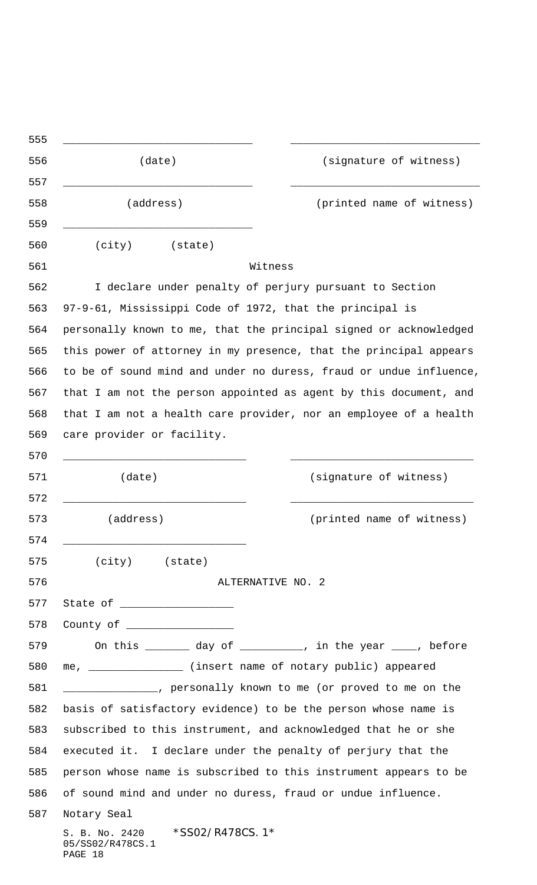|                                                                    | (date)                                                         | (signature of witness)                                            |
|--------------------------------------------------------------------|----------------------------------------------------------------|-------------------------------------------------------------------|
|                                                                    | (address)                                                      | (printed name of witness)                                         |
|                                                                    | (city)<br>(state)                                              |                                                                   |
|                                                                    |                                                                | Witness                                                           |
|                                                                    |                                                                | I declare under penalty of perjury pursuant to Section            |
|                                                                    | 97-9-61, Mississippi Code of 1972, that the principal is       |                                                                   |
| personally known to me, that the principal signed or acknowledged  |                                                                |                                                                   |
|                                                                    |                                                                | this power of attorney in my presence, that the principal appears |
| to be of sound mind and under no duress, fraud or undue influence, |                                                                |                                                                   |
| that I am not the person appointed as agent by this document, and  |                                                                |                                                                   |
| that I am not a health care provider, nor an employee of a health  |                                                                |                                                                   |
|                                                                    | care provider or facility.                                     |                                                                   |
|                                                                    |                                                                |                                                                   |
|                                                                    | (date)                                                         | (signature of witness)                                            |
|                                                                    |                                                                |                                                                   |
|                                                                    | (address)                                                      | (printed name of witness)                                         |
|                                                                    |                                                                |                                                                   |
|                                                                    | (city) (state)                                                 |                                                                   |
|                                                                    |                                                                | ALTERNATIVE NO. 2                                                 |
|                                                                    |                                                                |                                                                   |
|                                                                    | County of ___________________                                  |                                                                   |
|                                                                    |                                                                | On this ________ day of __________, in the year ____, before      |
| me, ________________ (insert name of notary public) appeared       |                                                                |                                                                   |
| _______________, personally known to me (or proved to me on the    |                                                                |                                                                   |
| basis of satisfactory evidence) to be the person whose name is     |                                                                |                                                                   |
| subscribed to this instrument, and acknowledged that he or she     |                                                                |                                                                   |
| executed it. I declare under the penalty of perjury that the       |                                                                |                                                                   |
| person whose name is subscribed to this instrument appears to be   |                                                                |                                                                   |
| of sound mind and under no duress, fraud or undue influence.       |                                                                |                                                                   |
|                                                                    | Notary Seal                                                    |                                                                   |
|                                                                    | S. B. No. 2420 *SSO2/R478CS. 1*<br>05/SS02/R478CS.1<br>PAGE 18 |                                                                   |